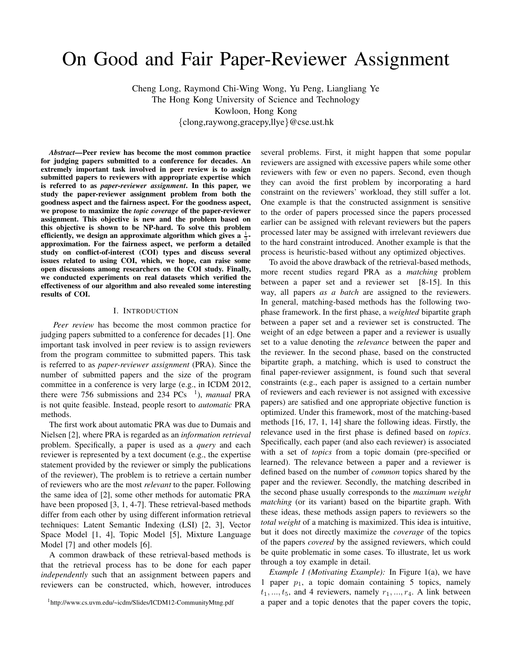# On Good and Fair Paper-Reviewer Assignment

Cheng Long, Raymond Chi-Wing Wong, Yu Peng, Liangliang Ye The Hong Kong University of Science and Technology Kowloon, Hong Kong {clong,raywong,gracepy,llye}@cse.ust.hk

*Abstract*—Peer review has become the most common practice for judging papers submitted to a conference for decades. An extremely important task involved in peer review is to assign submitted papers to reviewers with appropriate expertise which is referred to as *paper-reviewer assignment*. In this paper, we study the paper-reviewer assignment problem from both the goodness aspect and the fairness aspect. For the goodness aspect, we propose to maximize the *topic coverage* of the paper-reviewer assignment. This objective is new and the problem based on this objective is shown to be NP-hard. To solve this problem efficiently, we design an approximate algorithm which gives a  $\frac{1}{3}$ approximation. For the fairness aspect, we perform a detailed study on conflict-of-interest (COI) types and discuss several issues related to using COI, which, we hope, can raise some open discussions among researchers on the COI study. Finally, we conducted experiments on real datasets which verified the effectiveness of our algorithm and also revealed some interesting results of COI.

#### I. INTRODUCTION

*Peer review* has become the most common practice for judging papers submitted to a conference for decades [1]. One important task involved in peer review is to assign reviewers from the program committee to submitted papers. This task is referred to as *paper-reviewer assignment* (PRA). Since the number of submitted papers and the size of the program committee in a conference is very large (e.g., in ICDM 2012, there were 756 submissions and 234 PCs <sup>1</sup>), *manual* PRA is not quite feasible. Instead, people resort to *automatic* PRA methods.

The first work about automatic PRA was due to Dumais and Nielsen [2], where PRA is regarded as an *information retrieval* problem. Specifically, a paper is used as a *query* and each reviewer is represented by a text document (e.g., the expertise statement provided by the reviewer or simply the publications of the reviewer), The problem is to retrieve a certain number of reviewers who are the most *relevant* to the paper. Following the same idea of [2], some other methods for automatic PRA have been proposed [3, 1, 4-7]. These retrieval-based methods differ from each other by using different information retrieval techniques: Latent Semantic Indexing (LSI) [2, 3], Vector Space Model [1, 4], Topic Model [5], Mixture Language Model [7] and other models [6].

A common drawback of these retrieval-based methods is that the retrieval process has to be done for each paper *independently* such that an assignment between papers and reviewers can be constructed, which, however, introduces several problems. First, it might happen that some popular reviewers are assigned with excessive papers while some other reviewers with few or even no papers. Second, even though they can avoid the first problem by incorporating a hard constraint on the reviewers' workload, they still suffer a lot. One example is that the constructed assignment is sensitive to the order of papers processed since the papers processed earlier can be assigned with relevant reviewers but the papers processed later may be assigned with irrelevant reviewers due to the hard constraint introduced. Another example is that the process is heuristic-based without any optimized objectives.

To avoid the above drawback of the retrieval-based methods, more recent studies regard PRA as a *matching* problem between a paper set and a reviewer set [8-15]. In this way, all papers *as a batch* are assigned to the reviewers. In general, matching-based methods has the following twophase framework. In the first phase, a *weighted* bipartite graph between a paper set and a reviewer set is constructed. The weight of an edge between a paper and a reviewer is usually set to a value denoting the *relevance* between the paper and the reviewer. In the second phase, based on the constructed bipartite graph, a matching, which is used to construct the final paper-reviewer assignment, is found such that several constraints (e.g., each paper is assigned to a certain number of reviewers and each reviewer is not assigned with excessive papers) are satisfied and one appropriate objective function is optimized. Under this framework, most of the matching-based methods [16, 17, 1, 14] share the following ideas. Firstly, the relevance used in the first phase is defined based on *topics*. Specifically, each paper (and also each reviewer) is associated with a set of *topics* from a topic domain (pre-specified or learned). The relevance between a paper and a reviewer is defined based on the number of *common* topics shared by the paper and the reviewer. Secondly, the matching described in the second phase usually corresponds to the *maximum weight matching* (or its variant) based on the bipartite graph. With these ideas, these methods assign papers to reviewers so the *total weight* of a matching is maximized. This idea is intuitive, but it does not directly maximize the *coverage* of the topics of the papers *covered* by the assigned reviewers, which could be quite problematic in some cases. To illustrate, let us work through a toy example in detail.

*Example 1 (Motivating Example):* In Figure 1(a), we have 1 paper  $p_1$ , a topic domain containing 5 topics, namely  $t_1, \ldots, t_5$ , and 4 reviewers, namely  $r_1, \ldots, r_4$ . A link between a paper and a topic denotes that the paper covers the topic,

<sup>1</sup>http://www.cs.uvm.edu/~icdm/Slides/ICDM12-CommunityMtng.pdf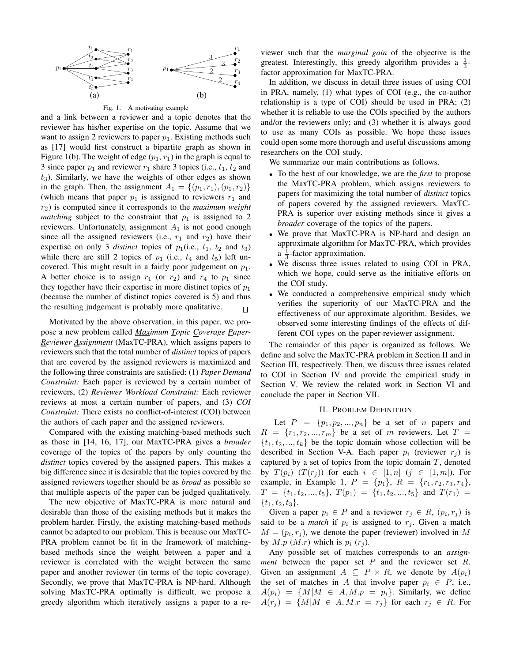

Fig. 1. A motivating example

and a link between a reviewer and a topic denotes that the reviewer has his/her expertise on the topic. Assume that we want to assign 2 reviewers to paper  $p_1$ . Existing methods such as [17] would first construct a bipartite graph as shown in Figure 1(b). The weight of edge  $(p_1, r_1)$  in the graph is equal to 3 since paper  $p_1$  and reviewer  $r_1$  share 3 topics (i.e.,  $t_1$ ,  $t_2$  and  $t<sub>3</sub>$ ). Similarly, we have the weights of other edges as shown in the graph. Then, the assignment  $A_1 = \{(p_1, r_1), (p_1, r_2)\}\$ (which means that paper  $p_1$  is assigned to reviewers  $r_1$  and r2) is computed since it corresponds to the *maximum weight matching* subject to the constraint that  $p_1$  is assigned to 2 reviewers. Unfortunately, assignment  $A_1$  is not good enough since all the assigned reviewers (i.e.,  $r_1$  and  $r_2$ ) have their expertise on only 3 *distinct* topics of  $p_1$ (i.e.,  $t_1$ ,  $t_2$  and  $t_3$ ) while there are still 2 topics of  $p_1$  (i.e.,  $t_4$  and  $t_5$ ) left uncovered. This might result in a fairly poor judgement on  $p_1$ . A better choice is to assign  $r_1$  (or  $r_2$ ) and  $r_4$  to  $p_1$  since they together have their expertise in more distinct topics of  $p_1$ (because the number of distinct topics covered is 5) and thus the resulting judgement is probably more qualitative.  $\Box$ 

Motivated by the above observation, in this paper, we propose a new problem called *Maximum Topic Coverage Paper-Reviewer Assignment* (MaxTC-PRA), which assigns papers to reviewers such that the total number of *distinct* topics of papers that are covered by the assigned reviewers is maximized and the following three constraints are satisfied: (1) *Paper Demand Constraint:* Each paper is reviewed by a certain number of reviewers, (2) *Reviewer Workload Constraint:* Each reviewer reviews at most a certain number of papers, and (3) *COI Constraint:* There exists no conflict-of-interest (COI) between the authors of each paper and the assigned reviewers.

Compared with the existing matching-based methods such as those in [14, 16, 17], our MaxTC-PRA gives a *broader* coverage of the topics of the papers by only counting the *distinct* topics covered by the assigned papers. This makes a big difference since it is desirable that the topics covered by the assigned reviewers together should be as *broad* as possible so that multiple aspects of the paper can be judged qualitatively.

The new objective of MaxTC-PRA is more natural and desirable than those of the existing methods but it makes the problem harder. Firstly, the existing matching-based methods cannot be adapted to our problem. This is because our MaxTC-PRA problem cannot be fit in the framework of matchingbased methods since the weight between a paper and a reviewer is correlated with the weight between the same paper and another reviewer (in terms of the topic coverage). Secondly, we prove that MaxTC-PRA is NP-hard. Although solving MaxTC-PRA optimally is difficult, we propose a greedy algorithm which iteratively assigns a paper to a reviewer such that the *marginal gain* of the objective is the greatest. Interestingly, this greedy algorithm provides a  $\frac{1}{3}$ factor approximation for MaxTC-PRA.

In addition, we discuss in detail three issues of using COI in PRA, namely, (1) what types of COI (e.g., the co-author relationship is a type of COI) should be used in PRA; (2) whether it is reliable to use the COIs specified by the authors and/or the reviewers only; and (3) whether it is always good to use as many COIs as possible. We hope these issues could open some more thorough and useful discussions among researchers on the COI study.

We summarize our main contributions as follows.

- To the best of our knowledge, we are the *first* to propose the MaxTC-PRA problem, which assigns reviewers to papers for maximizing the total number of *distinct* topics of papers covered by the assigned reviewers. MaxTC-PRA is superior over existing methods since it gives a *broader* coverage of the topics of the papers.
- We prove that MaxTC-PRA is NP-hard and design an approximate algorithm for MaxTC-PRA, which provides  $a \frac{1}{3}$ -factor approximation.
- We discuss three issues related to using COI in PRA, which we hope, could serve as the initiative efforts on the COI study.
- We conducted a comprehensive empirical study which verifies the superiority of our MaxTC-PRA and the effectiveness of our approximate algorithm. Besides, we observed some interesting findings of the effects of different COI types on the paper-reviewer assignment.

The remainder of this paper is organized as follows. We define and solve the MaxTC-PRA problem in Section II and in Section III, respectively. Then, we discuss three issues related to COI in Section IV and provide the empirical study in Section V. We review the related work in Section VI and conclude the paper in Section VII.

# II. PROBLEM DEFINITION

Let  $P = \{p_1, p_2, ..., p_n\}$  be a set of n papers and  $R = \{r_1, r_2, ..., r_m\}$  be a set of m reviewers. Let  $T =$  $\{t_1, t_2, ..., t_k\}$  be the topic domain whose collection will be described in Section V-A. Each paper  $p_i$  (reviewer  $r_i$ ) is captured by a set of topics from the topic domain  $T$ , denoted by  $T(p_i)$   $(T(r_j))$  for each  $i \in [1, n]$   $(j \in [1, m])$ . For example, in Example 1,  $P = \{p_1\}$ ,  $R = \{r_1, r_2, r_3, r_4\}$ ,  $T = \{t_1, t_2, ..., t_5\}, T(p_1) = \{t_1, t_2, ..., t_5\}$  and  $T(r_1) =$  $\{t_1, t_2, t_3\}.$ 

Given a paper  $p_i \in P$  and a reviewer  $r_j \in R$ ,  $(p_i, r_j)$  is said to be a *match* if  $p_i$  is assigned to  $r_j$ . Given a match  $M = (p_i, r_j)$ , we denote the paper (reviewer) involved in M by  $M.p (M.r)$  which is  $p_i (r_i)$ .

Any possible set of matches corresponds to an *assignment* between the paper set P and the reviewer set R. Given an assignment  $A \subseteq P \times R$ , we denote by  $A(p_i)$ the set of matches in A that involve paper  $p_i \in P$ , i.e.,  $A(p_i) = \{M | M \in A, M.p = p_i\}.$  Similarly, we define  $A(r_j) = \{M | M \in A, M.r = r_j\}$  for each  $r_j \in R$ . For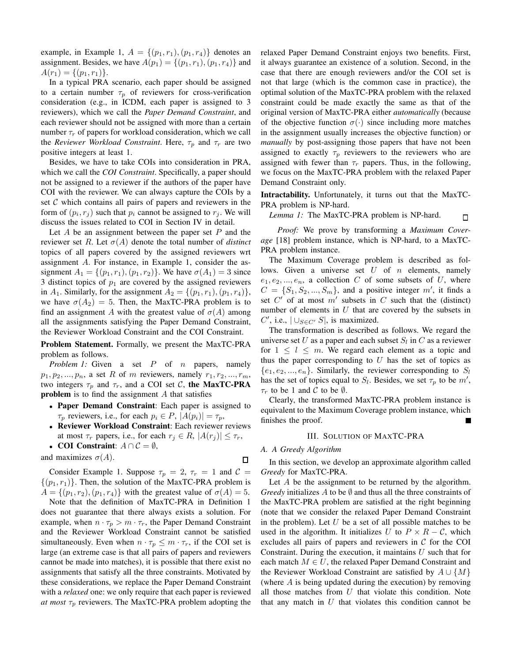example, in Example 1,  $A = \{(p_1, r_1), (p_1, r_4)\}\$  denotes an assignment. Besides, we have  $A(p_1) = \{(p_1, r_1), (p_1, r_4)\}\$ and  $A(r_1) = \{(p_1, r_1)\}.$ 

In a typical PRA scenario, each paper should be assigned to a certain number  $\tau_p$  of reviewers for cross-verification consideration (e.g., in ICDM, each paper is assigned to 3 reviewers), which we call the *Paper Demand Constraint*, and each reviewer should not be assigned with more than a certain number  $\tau_r$  of papers for workload consideration, which we call the *Reviewer Workload Constraint*. Here,  $\tau_p$  and  $\tau_r$  are two positive integers at least 1.

Besides, we have to take COIs into consideration in PRA, which we call the *COI Constraint*. Specifically, a paper should not be assigned to a reviewer if the authors of the paper have COI with the reviewer. We can always capture the COIs by a set  $C$  which contains all pairs of papers and reviewers in the form of  $(p_i, r_j)$  such that  $p_i$  cannot be assigned to  $r_j$ . We will discuss the issues related to COI in Section IV in detail.

Let  $A$  be an assignment between the paper set  $P$  and the reviewer set R. Let  $\sigma(A)$  denote the total number of *distinct* topics of all papers covered by the assigned reviewers wrt assignment A. For instance, in Example 1, consider the assignment  $A_1 = \{(p_1, r_1), (p_1, r_2)\}\.$  We have  $\sigma(A_1) = 3$  since 3 distinct topics of  $p_1$  are covered by the assigned reviewers in  $A_1$ . Similarly, for the assignment  $A_2 = \{(p_1, r_1), (p_1, r_4)\},\$ we have  $\sigma(A_2) = 5$ . Then, the MaxTC-PRA problem is to find an assignment A with the greatest value of  $\sigma(A)$  among all the assignments satisfying the Paper Demand Constraint, the Reviewer Workload Constraint and the COI Constraint.

Problem Statement. Formally, we present the MaxTC-PRA problem as follows.

*Problem 1:* Given a set P of *n* papers, namely  $p_1, p_2, \ldots, p_n$ , a set R of m reviewers, namely  $r_1, r_2, \ldots, r_m$ , two integers  $\tau_p$  and  $\tau_r$ , and a COI set C, the MaxTC-PRA **problem** is to find the assignment  $A$  that satisfies

- Paper Demand Constraint: Each paper is assigned to  $\tau_p$  reviewers, i.e., for each  $p_i \in P$ ,  $|A(p_i)| = \tau_p$ ,
- Reviewer Workload Constraint: Each reviewer reviews at most  $\tau_r$  papers, i.e., for each  $r_j \in R$ ,  $|A(r_j)| \leq \tau_r$ ,
- COI Constraint:  $A \cap C = \emptyset$ ,

and maximizes  $\sigma(A)$ .

 $\Box$ 

Consider Example 1. Suppose  $\tau_p = 2$ ,  $\tau_r = 1$  and  $\mathcal{C} =$  $\{(p_1, r_1)\}\.$  Then, the solution of the MaxTC-PRA problem is  $A = \{(p_1, r_2), (p_1, r_4)\}\$  with the greatest value of  $\sigma(A) = 5$ .

Note that the definition of MaxTC-PRA in Definition 1 does not guarantee that there always exists a solution. For example, when  $n \cdot \tau_p > m \cdot \tau_r$ , the Paper Demand Constraint and the Reviewer Workload Constraint cannot be satisfied simultaneously. Even when  $n \cdot \tau_p \leq m \cdot \tau_r$ , if the COI set is large (an extreme case is that all pairs of papers and reviewers cannot be made into matches), it is possible that there exist no assignments that satisfy all the three constraints. Motivated by these considerations, we replace the Paper Demand Constraint with a *relaxed* one: we only require that each paper is reviewed *at most*  $\tau_p$  reviewers. The MaxTC-PRA problem adopting the

relaxed Paper Demand Constraint enjoys two benefits. First, it always guarantee an existence of a solution. Second, in the case that there are enough reviewers and/or the COI set is not that large (which is the common case in practice), the optimal solution of the MaxTC-PRA problem with the relaxed constraint could be made exactly the same as that of the original version of MaxTC-PRA either *automatically* (because of the objective function  $\sigma(\cdot)$  since including more matches in the assignment usually increases the objective function) or *manually* by post-assigning those papers that have not been assigned to exactly  $\tau_p$  reviewers to the reviewers who are assigned with fewer than  $\tau_r$  papers. Thus, in the following, we focus on the MaxTC-PRA problem with the relaxed Paper Demand Constraint only.

Intractability. Unfortunately, it turns out that the MaxTC-PRA problem is NP-hard.

#### *Lemma 1:* The MaxTC-PRA problem is NP-hard.  $\Box$

*Proof:* We prove by transforming a *Maximum Coverage* [18] problem instance, which is NP-hard, to a MaxTC-PRA problem instance.

The Maximum Coverage problem is described as follows. Given a universe set  $U$  of  $n$  elements, namely  $e_1, e_2, \ldots, e_n$ , a collection C of some subsets of U, where  $C = \{S_1, S_2, ..., S_m\}$ , and a positive integer m', it finds a set  $C'$  of at most  $m'$  subsets in C such that the (distinct) number of elements in  $U$  that are covered by the subsets in C', i.e.,  $|\bigcup_{S \in C'} S|$ , is maximized.

The transformation is described as follows. We regard the universe set U as a paper and each subset  $S_l$  in C as a reviewer for  $1 \leq l \leq m$ . We regard each element as a topic and thus the paper corresponding to  $U$  has the set of topics as  $\{e_1, e_2, ..., e_n\}$ . Similarly, the reviewer corresponding to  $S_l$ has the set of topics equal to  $S_l$ . Besides, we set  $\tau_p$  to be  $m'$ ,  $\tau_r$  to be 1 and C to be  $\emptyset$ .

Clearly, the transformed MaxTC-PRA problem instance is equivalent to the Maximum Coverage problem instance, which finishes the proof.

# III. SOLUTION OF MAXTC-PRA

# *A. A Greedy Algorithm*

In this section, we develop an approximate algorithm called *Greedy* for MaxTC-PRA.

Let A be the assignment to be returned by the algorithm. *Greedy* initializes  $\overline{A}$  to be  $\emptyset$  and thus all the three constraints of the MaxTC-PRA problem are satisfied at the right beginning (note that we consider the relaxed Paper Demand Constraint in the problem). Let  $U$  be a set of all possible matches to be used in the algorithm. It initializes U to  $P \times R - C$ , which excludes all pairs of papers and reviewers in  $C$  for the COI Constraint. During the execution, it maintains  $U$  such that for each match  $M \in U$ , the relaxed Paper Demand Constraint and the Reviewer Workload Constraint are satisfied by  $A \cup \{M\}$ (where A is being updated during the execution) by removing all those matches from  $U$  that violate this condition. Note that any match in  $U$  that violates this condition cannot be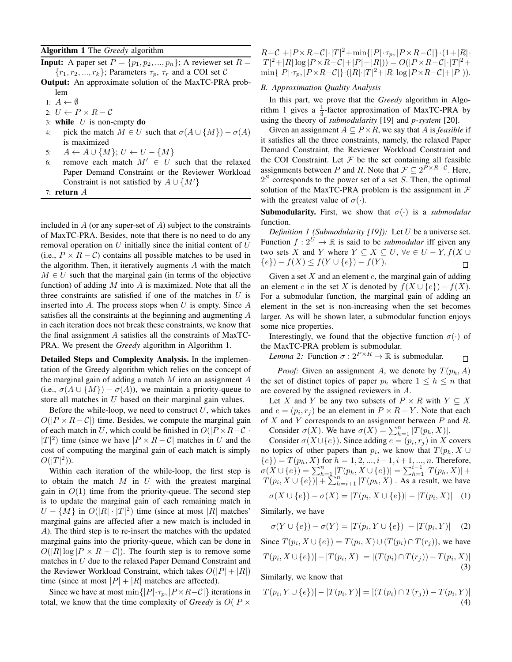# Algorithm 1 The *Greedy* algorithm

**Input:** A paper set  $P = \{p_1, p_2, ..., p_n\}$ ; A reviewer set  $R =$  $\{r_1, r_2, ..., r_k\}$ ; Parameters  $\tau_p$ ,  $\tau_r$  and a COI set C

- Output: An approximate solution of the MaxTC-PRA problem
- 1:  $A \leftarrow \emptyset$
- 2:  $U \leftarrow P \times R C$
- 3: while  $U$  is non-empty do
- 4: pick the match  $M \in U$  such that  $\sigma(A \cup \{M\}) \sigma(A)$ is maximized
- 5:  $A \leftarrow A \cup \{M\}; U \leftarrow U \{M\}$
- 6: remove each match  $M' \in U$  such that the relaxed Paper Demand Constraint or the Reviewer Workload Constraint is not satisfied by  $A \cup \{M'\}$
- 7: return A

included in  $A$  (or any super-set of  $A$ ) subject to the constraints of MaxTC-PRA. Besides, note that there is no need to do any removal operation on  $U$  initially since the initial content of  $U$ (i.e.,  $P \times R - C$ ) contains all possible matches to be used in the algorithm. Then, it iteratively augments A with the match  $M \in U$  such that the marginal gain (in terms of the objective function) of adding  $M$  into  $A$  is maximized. Note that all the three constraints are satisfied if one of the matches in  $U$  is inserted into  $A$ . The process stops when  $U$  is empty. Since  $A$ satisfies all the constraints at the beginning and augmenting A in each iteration does not break these constraints, we know that the final assignment A satisfies all the constraints of MaxTC-PRA. We present the *Greedy* algorithm in Algorithm 1.

Detailed Steps and Complexity Analysis. In the implementation of the Greedy algorithm which relies on the concept of the marginal gain of adding a match  $M$  into an assignment  $A$ (i.e.,  $\sigma(A \cup \{M\}) - \sigma(A)$ ), we maintain a priority-queue to store all matches in  $U$  based on their marginal gain values.

Before the while-loop, we need to construct  $U$ , which takes  $O(|P \times R - C|)$  time. Besides, we compute the marginal gain of each match in U, which could be finished in  $O(|P \times R-C| \cdot )$  $|T|^2$ ) time (since we have  $|P \times R - C|$  matches in U and the cost of computing the marginal gain of each match is simply  $O(|T|^2)$ ).

Within each iteration of the while-loop, the first step is to obtain the match  $M$  in  $U$  with the greatest marginal gain in  $O(1)$  time from the priority-queue. The second step is to update the marginal gain of each remaining match in  $U - \{M\}$  in  $O(|R| \cdot |T|^2)$  time (since at most  $|R|$  matches' marginal gains are affected after a new match is included in A). The third step is to re-insert the matches with the updated marginal gains into the priority-queue, which can be done in  $O(|R| \log |P \times R - C|)$ . The fourth step is to remove some matches in U due to the relaxed Paper Demand Constraint and the Reviewer Workload Constraint, which takes  $O(|P| + |R|)$ time (since at most  $|P| + |R|$  matches are affected).

Since we have at most min $\{ |P|\cdot \tau_p, |P\times R-\mathcal{C}|\}$  iterations in total, we know that the time complexity of *Greedy* is  $O(|P \times P|)$ 

 $R-\mathcal{C}|+|P\times R-\mathcal{C}|\cdot|T|^2+\min\{|P|\cdot\tau_p,|P\times R-\mathcal{C}|\}\cdot(1+|R|\cdot)$  $|T|^2 + |R| \log |P \times R - C| + |P| + |R|$ ) =  $O(|P \times R - C| \cdot |T|^2 +$  $\min\{|P|\cdot\tau_p, |P\times R-\mathcal{C}|\}\cdot(|R|\cdot|T|^2+|R|\log|P\times R-\mathcal{C}|+|P|)).$ 

# *B. Approximation Quality Analysis*

In this part, we prove that the *Greedy* algorithm in Algorithm 1 gives a  $\frac{1}{3}$ -factor approximation of MaxTC-PRA by using the theory of *submodularity* [19] and *p-system* [20].

Given an assignment  $A \subseteq P \times R$ , we say that A is *feasible* if it satisfies all the three constraints, namely, the relaxed Paper Demand Constraint, the Reviewer Workload Constraint and the COI Constraint. Let  $F$  be the set containing all feasible assignments between P and R. Note that  $\mathcal{F} \subseteq 2^{\overline{P} \times R - C}$ . Here,  $2<sup>S</sup>$  corresponds to the power set of a set S. Then, the optimal solution of the MaxTC-PRA problem is the assignment in  $\mathcal F$ with the greatest value of  $\sigma(\cdot)$ .

**Submodularity.** First, we show that  $\sigma(\cdot)$  is a *submodular* function.

*Definition 1 (Submodularity [19]):* Let U be a universe set. Function  $f: 2^U \to \mathbb{R}$  is said to be *submodular* iff given any two sets X and Y where  $Y \subseteq X \subseteq U$ ,  $\forall e \in U - Y$ ,  $f(X \cup$  ${e}) - f(X) \leq f(Y \cup {e}) - f(Y).$  $\Box$ 

Given a set  $X$  and an element  $e$ , the marginal gain of adding an element e in the set X is denoted by  $f(X \cup \{e\}) - f(X)$ . For a submodular function, the marginal gain of adding an element in the set is non-increasing when the set becomes larger. As will be shown later, a submodular function enjoys some nice properties.

Interestingly, we found that the objective function  $\sigma(\cdot)$  of the MaxTC-PRA problem is submodular.

*Lemma 2:* Function  $\sigma$  :  $2^{P \times R} \rightarrow \mathbb{R}$  is submodular.  $\Box$ 

*Proof:* Given an assignment A, we denote by  $T(p_h, A)$ the set of distinct topics of paper  $p_h$  where  $1 \leq h \leq n$  that are covered by the assigned reviewers in A.

Let X and Y be any two subsets of  $P \times R$  with  $Y \subseteq X$ and  $e = (p_i, r_j)$  be an element in  $P \times R - Y$ . Note that each of  $X$  and  $Y$  corresponds to an assignment between  $P$  and  $R$ .

Consider  $\sigma(X)$ . We have  $\sigma(X) = \sum_{h=1}^{n} |T(p_h, X)|$ .

Consider  $\sigma(X \cup \{e\})$ . Since adding  $e = (p_i, r_j)$  in X covers no topics of other papers than  $p_i$ , we know that  $T(p_h, X \cup$  ${e}$ ) =  $T(p_h, X)$  for  $h = 1, 2, ..., i - 1, i + 1, ..., n$ . Therefore,  $\sigma(X \cup \{e\}) = \sum_{h=1}^{n} |T(p_h, X \cup \{e\})| = \sum_{h=1}^{i-1} |T(p_h, X)| +$  $|T(p_i, X \cup \{e\})| + \sum_{h=i+1}^{n} |T(p_h, X)|$ . As a result, we have

$$
\sigma(X \cup \{e\}) - \sigma(X) = |T(p_i, X \cup \{e\})| - |T(p_i, X)| \quad (1)
$$

Similarly, we have

 $\sigma(Y \cup \{e\}) - \sigma(Y) = |T(p_i, Y \cup \{e\})| - |T(p_i, Y)|$  (2) Since  $T(p_i, X \cup \{e\}) = T(p_i, X) \cup (T(p_i) \cap T(r_j))$ , we have  $|T(p_i, X \cup \{e\})| - |T(p_i, X)| = |(T(p_i) \cap T(r_j)) - T(p_i, X)|$ 

(3)

Similarly, we know that

$$
|T(p_i, Y \cup \{e\})| - |T(p_i, Y)| = |(T(p_i) \cap T(r_j)) - T(p_i, Y)|
$$
\n(4)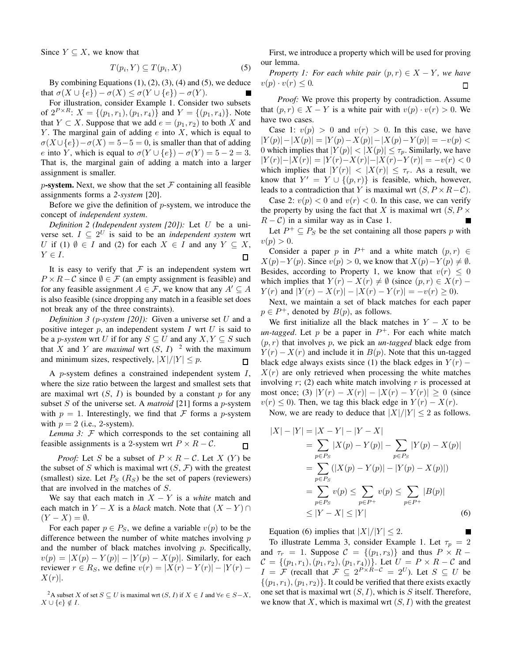Since  $Y \subseteq X$ , we know that

$$
T(p_i, Y) \subseteq T(p_i, X) \tag{5}
$$

By combining Equations  $(1)$ ,  $(2)$ ,  $(3)$ ,  $(4)$  and  $(5)$ , we deduce that  $\sigma(X \cup \{e\}) - \sigma(X) \leq \sigma(Y \cup \{e\}) - \sigma(Y)$ .

For illustration, consider Example 1. Consider two subsets of  $2^{P \times R}$ :  $X = \{(p_1, r_1), (p_1, r_4)\}$  and  $Y = \{(p_1, r_4)\}$ . Note that  $Y \subset X$ . Suppose that we add  $e = (p_1, r_2)$  to both X and Y. The marginal gain of adding  $e$  into  $X$ , which is equal to  $\sigma(X \cup \{e\}) - \sigma(X) = 5-5 = 0$ , is smaller than that of adding e into Y, which is equal to  $\sigma(Y \cup \{e\}) - \sigma(Y) = 5 - 2 = 3$ . That is, the marginal gain of adding a match into a larger assignment is smaller.

p-system. Next, we show that the set  $\mathcal F$  containing all feasible assignments forms a *2-system* [20].

Before we give the definition of  $p$ -system, we introduce the concept of *independent system*.

*Definition 2 (Independent system [20]):* Let U be a universe set.  $I \subseteq 2^U$  is said to be an *independent system* wrt U if (1)  $\emptyset \in I$  and (2) for each  $X \in I$  and any  $Y \subseteq X$ ,  $Y \in I$ .  $\Box$ 

It is easy to verify that  $F$  is an independent system wrt  $P \times R - C$  since  $\emptyset \in \mathcal{F}$  (an empty assignment is feasible) and for any feasible assignment  $A \in \mathcal{F}$ , we know that any  $A' \subseteq A$ is also feasible (since dropping any match in a feasible set does not break any of the three constraints).

*Definition 3 (*p*-system [20]):* Given a universe set U and a positive integer  $p$ , an independent system  $I$  wrt  $U$  is said to be a *p*-system wrt U if for any  $S \subseteq U$  and any  $X, Y \subseteq S$  such that X and Y are *maximal* wrt  $(S, I)$ <sup>2</sup> with the maximum and minimum sizes, respectively,  $|X|/|Y| \leq p$ .  $\Box$ 

A p-system defines a constrained independent system I, where the size ratio between the largest and smallest sets that are maximal wrt  $(S, I)$  is bounded by a constant p for any subset S of the universe set. A *matroid* [21] forms a p-system with  $p = 1$ . Interestingly, we find that F forms a p-system with  $p = 2$  (i.e., 2-system).

*Lemma 3:*  $\mathcal F$  which corresponds to the set containing all feasible assignments is a 2-system wrt  $P \times R - C$ .  $\Box$ 

*Proof:* Let S be a subset of  $P \times R - C$ . Let X (Y) be the subset of S which is maximal wrt  $(S, \mathcal{F})$  with the greatest (smallest) size. Let  $P_S$  ( $R_S$ ) be the set of papers (reviewers) that are involved in the matches of S.

We say that each match in  $X - Y$  is a *white* match and each match in  $Y - X$  is a *black* match. Note that  $(X - Y) \cap Y$  $(Y - X) = \emptyset$ .

For each paper  $p \in P_S$ , we define a variable  $v(p)$  to be the difference between the number of white matches involving  $p$ and the number of black matches involving  $p$ . Specifically,  $v(p) = |X(p) - Y(p)| - |Y(p) - X(p)|$ . Similarly, for each reviewer  $r \in R_S$ , we define  $v(r) = |X(r) - Y(r)| - |Y(r) - Y(r)|$  $X(r)$ .

<sup>2</sup>A subset X of set  $S \subseteq U$  is maximal wrt  $(S, I)$  if  $X \in I$  and  $\forall e \in S - X$ ,  $X \cup \{e\} \notin I$ .

First, we introduce a property which will be used for proving our lemma.

*Property 1: For each white pair*  $(p, r) \in X - Y$ *, we have*  $v(p) \cdot v(r) \leq 0.$  $\Box$ 

*Proof:* We prove this property by contradiction. Assume that  $(p, r) \in X - Y$  is a white pair with  $v(p) \cdot v(r) > 0$ . We have two cases.

Case 1:  $v(p) > 0$  and  $v(r) > 0$ . In this case, we have  $|Y(p)|-|X(p)|=|Y(p)-X(p)|-|X(p)-Y(p)|=-v(p)<$ 0 which implies that  $|Y(p)| < |X(p)| \le \tau_p$ . Similarly, we have  $|Y(r)|-|X(r)| = |Y(r)-X(r)|-|X(r)-Y(r)| = -v(r) < 0$ which implies that  $|Y(r)| < |X(r)| \leq \tau_r$ . As a result, we know that  $Y' = Y \cup \{(p, r)\}\$ is feasible, which, however, leads to a contradiction that Y is maximal wrt  $(S, P \times R - C)$ .

Case 2:  $v(p) < 0$  and  $v(r) < 0$ . In this case, we can verify the property by using the fact that X is maximal wrt  $(S, P \times$  $R - C$ ) in a similar way as in Case 1.

Let  $P^+ \subseteq P_S$  be the set containing all those papers p with  $v(p) > 0.$ 

Consider a paper p in  $P^+$  and a white match  $(p, r) \in$  $X(p) - Y(p)$ . Since  $v(p) > 0$ , we know that  $X(p) - Y(p) \neq \emptyset$ . Besides, according to Property 1, we know that  $v(r) \leq 0$ which implies that  $Y(r) - X(r) \neq \emptyset$  (since  $(p, r) \in X(r)$  –  $Y(r)$  and  $|Y(r) - X(r)| - |X(r) - Y(r)| = -v(r) \ge 0$ .

Next, we maintain a set of black matches for each paper  $p \in P^+$ , denoted by  $B(p)$ , as follows.

We first initialize all the black matches in  $Y - X$  to be  $un-tagged$ . Let p be a paper in  $P^+$ . For each white match  $(p, r)$  that involves p, we pick an *un-tagged* black edge from  $Y(r) - X(r)$  and include it in  $B(p)$ . Note that this un-tagged black edge always exists since (1) the black edges in  $Y(r)$  –  $X(r)$  are only retrieved when processing the white matches involving  $r$ ; (2) each white match involving  $r$  is processed at most once; (3)  $|Y(r) - X(r)| - |X(r) - Y(r)| \ge 0$  (since  $v(r) \leq 0$ ). Then, we tag this black edge in  $Y(r) - X(r)$ .

Now, we are ready to deduce that  $|X|/|Y| < 2$  as follows.

$$
|X| - |Y| = |X - Y| - |Y - X|
$$
  
=  $\sum_{p \in P_S} |X(p) - Y(p)| - \sum_{p \in P_S} |Y(p) - X(p)|$   
=  $\sum_{p \in P_S} (|X(p) - Y(p)| - |Y(p) - X(p)|)$   
=  $\sum_{p \in P_S} v(p) \le \sum_{p \in P^+} v(p) \le \sum_{p \in P^+} |B(p)|$   
 $\le |Y - X| \le |Y|$  (6)

Equation (6) implies that  $|X|/|Y| \leq 2$ .

To illustrate Lemma 3, consider Example 1. Let  $\tau_p = 2$ and  $\tau_r = 1$ . Suppose  $C = \{(p_1, r_3)\}\$ and thus  $P \times R$  –  $C = \{(p_1, r_1), (p_1, r_2), (p_1, r_4)\}\.$  Let  $U = P \times R - C$  and  $I = \mathcal{F}$  (recall that  $\mathcal{F} \subseteq 2^{P \times R - C} = 2^U$ ). Let  $S \subseteq U$  be  $\{(p_1, r_1), (p_1, r_2)\}\.$  It could be verified that there exists exactly one set that is maximal wrt  $(S, I)$ , which is S itself. Therefore, we know that X, which is maximal wrt  $(S, I)$  with the greatest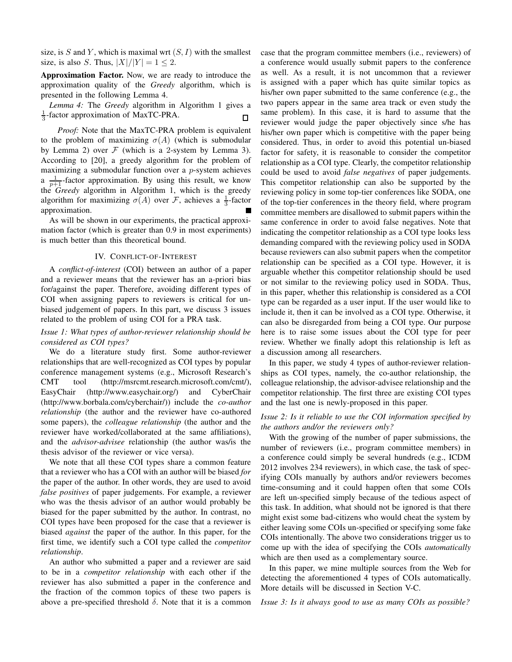size, is S and Y, which is maximal wrt  $(S, I)$  with the smallest size, is also S. Thus,  $|X|/|Y| = 1 \le 2$ .

Approximation Factor. Now, we are ready to introduce the approximation quality of the *Greedy* algorithm, which is presented in the following Lemma 4.

*Lemma 4:* The *Greedy* algorithm in Algorithm 1 gives a  $\frac{1}{3}$ -factor approximation of MaxTC-PRA. П

*Proof:* Note that the MaxTC-PRA problem is equivalent to the problem of maximizing  $\sigma(A)$  (which is submodular by Lemma 2) over  $F$  (which is a 2-system by Lemma 3). According to [20], a greedy algorithm for the problem of maximizing a submodular function over a  $p$ -system achieves a  $\frac{1}{p+1}$ -factor approximation. By using this result, we know the *Greedy* algorithm in Algorithm 1, which is the greedy algorithm for maximizing  $\sigma(A)$  over F, achieves a  $\frac{1}{3}$ -factor approximation.

As will be shown in our experiments, the practical approximation factor (which is greater than 0.9 in most experiments) is much better than this theoretical bound.

# IV. CONFLICT-OF-INTEREST

A *conflict-of-interest* (COI) between an author of a paper and a reviewer means that the reviewer has an a-priori bias for/against the paper. Therefore, avoiding different types of COI when assigning papers to reviewers is critical for unbiased judgement of papers. In this part, we discuss 3 issues related to the problem of using COI for a PRA task.

# *Issue 1: What types of author-reviewer relationship should be considered as COI types?*

We do a literature study first. Some author-reviewer relationships that are well-recognized as COI types by popular conference management systems (e.g., Microsoft Research's CMT tool (http://msrcmt.research.microsoft.com/cmt/), EasyChair (http://www.easychair.org/) and CyberChair (http://www.borbala.com/cyberchair/)) include the *co-author relationship* (the author and the reviewer have co-authored some papers), the *colleague relationship* (the author and the reviewer have worked/collaborated at the same affiliations), and the *advisor-advisee* relationship (the author was/is the thesis advisor of the reviewer or vice versa).

We note that all these COI types share a common feature that a reviewer who has a COI with an author will be biased *for* the paper of the author. In other words, they are used to avoid *false positives* of paper judgements. For example, a reviewer who was the thesis advisor of an author would probably be biased for the paper submitted by the author. In contrast, no COI types have been proposed for the case that a reviewer is biased *against* the paper of the author. In this paper, for the first time, we identify such a COI type called the *competitor relationship*.

An author who submitted a paper and a reviewer are said to be in a *competitor relationship* with each other if the reviewer has also submitted a paper in the conference and the fraction of the common topics of these two papers is above a pre-specified threshold  $\delta$ . Note that it is a common case that the program committee members (i.e., reviewers) of a conference would usually submit papers to the conference as well. As a result, it is not uncommon that a reviewer is assigned with a paper which has quite similar topics as his/her own paper submitted to the same conference (e.g., the two papers appear in the same area track or even study the same problem). In this case, it is hard to assume that the reviewer would judge the paper objectively since s/he has his/her own paper which is competitive with the paper being considered. Thus, in order to avoid this potential un-biased factor for safety, it is reasonable to consider the competitor relationship as a COI type. Clearly, the competitor relationship could be used to avoid *false negatives* of paper judgements. This competitor relationship can also be supported by the reviewing policy in some top-tier conferences like SODA, one of the top-tier conferences in the theory field, where program committee members are disallowed to submit papers within the same conference in order to avoid false negatives. Note that indicating the competitor relationship as a COI type looks less demanding compared with the reviewing policy used in SODA because reviewers can also submit papers when the competitor relationship can be specified as a COI type. However, it is arguable whether this competitor relationship should be used or not similar to the reviewing policy used in SODA. Thus, in this paper, whether this relationship is considered as a COI type can be regarded as a user input. If the user would like to include it, then it can be involved as a COI type. Otherwise, it can also be disregarded from being a COI type. Our purpose here is to raise some issues about the COI type for peer review. Whether we finally adopt this relationship is left as a discussion among all researchers.

In this paper, we study 4 types of author-reviewer relationships as COI types, namely, the co-author relationship, the colleague relationship, the advisor-advisee relationship and the competitor relationship. The first three are existing COI types and the last one is newly-proposed in this paper.

# *Issue 2: Is it reliable to use the COI information specified by the authors and/or the reviewers only?*

With the growing of the number of paper submissions, the number of reviewers (i.e., program committee members) in a conference could simply be several hundreds (e.g., ICDM 2012 involves 234 reviewers), in which case, the task of specifying COIs manually by authors and/or reviewers becomes time-consuming and it could happen often that some COIs are left un-specified simply because of the tedious aspect of this task. In addition, what should not be ignored is that there might exist some bad-citizens who would cheat the system by either leaving some COIs un-specified or specifying some fake COIs intentionally. The above two considerations trigger us to come up with the idea of specifying the COIs *automatically* which are then used as a complementary source.

In this paper, we mine multiple sources from the Web for detecting the aforementioned 4 types of COIs automatically. More details will be discussed in Section V-C.

*Issue 3: Is it always good to use as many COIs as possible?*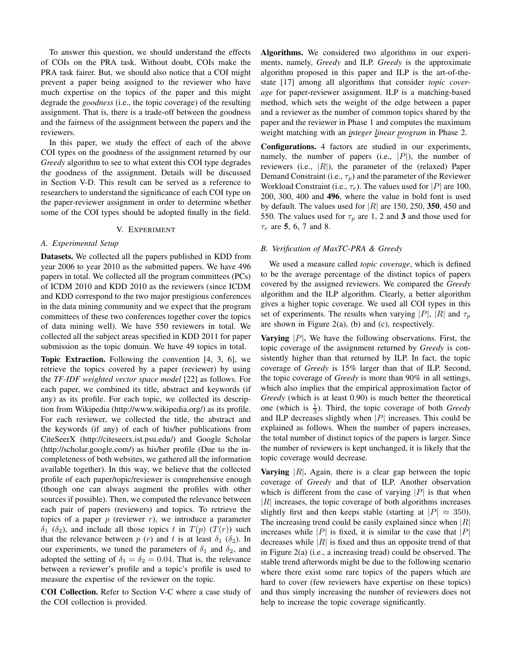To answer this question, we should understand the effects of COIs on the PRA task. Without doubt, COIs make the PRA task fairer. But, we should also notice that a COI might prevent a paper being assigned to the reviewer who have much expertise on the topics of the paper and this might degrade the *goodness* (i.e., the topic coverage) of the resulting assignment. That is, there is a trade-off between the goodness and the fairness of the assignment between the papers and the reviewers.

In this paper, we study the effect of each of the above COI types on the goodness of the assignment returned by our *Greedy* algorithm to see to what extent this COI type degrades the goodness of the assignment. Details will be discussed in Section V-D. This result can be served as a reference to researchers to understand the significance of each COI type on the paper-reviewer assignment in order to determine whether some of the COI types should be adopted finally in the field.

# V. EXPERIMENT

# *A. Experimental Setup*

Datasets. We collected all the papers published in KDD from year 2006 to year 2010 as the submitted papers. We have 496 papers in total. We collected all the program committees (PCs) of ICDM 2010 and KDD 2010 as the reviewers (since ICDM and KDD correspond to the two major prestigious conferences in the data mining community and we expect that the program committees of these two conferences together cover the topics of data mining well). We have 550 reviewers in total. We collected all the subject areas specified in KDD 2011 for paper submission as the topic domain. We have 49 topics in total.

Topic Extraction. Following the convention [4, 3, 6], we retrieve the topics covered by a paper (reviewer) by using the *TF-IDF weighted vector space model* [22] as follows. For each paper, we combined its title, abstract and keywords (if any) as its profile. For each topic, we collected its description from Wikipedia (http://www.wikipedia.org/) as its profile. For each reviewer, we collected the title, the abstract and the keywords (if any) of each of his/her publications from CiteSeerX (http://citeseerx.ist.psu.edu/) and Google Scholar (http://scholar.google.com/) as his/her profile (Due to the incompleteness of both websites, we gathered all the information available together). In this way, we believe that the collected profile of each paper/topic/reviewer is comprehensive enough (though one can always augment the profiles with other sources if possible). Then, we computed the relevance between each pair of papers (reviewers) and topics. To retrieve the topics of a paper  $p$  (reviewer  $r$ ), we introduce a parameter  $\delta_1$  ( $\delta_2$ ), and include all those topics t in  $T(p)$  ( $T(r)$ ) such that the relevance between p (r) and t is at least  $\delta_1$  ( $\delta_2$ ). In our experiments, we tuned the parameters of  $\delta_1$  and  $\delta_2$ , and adopted the setting of  $\delta_1 = \delta_2 = 0.04$ . That is, the relevance between a reviewer's profile and a topic's profile is used to measure the expertise of the reviewer on the topic.

COI Collection. Refer to Section V-C where a case study of the COI collection is provided.

Algorithms. We considered two algorithms in our experiments, namely, *Greedy* and ILP. *Greedy* is the approximate algorithm proposed in this paper and ILP is the art-of-thestate [17] among all algorithms that consider *topic coverage* for paper-reviewer assignment. ILP is a matching-based method, which sets the weight of the edge between a paper and a reviewer as the number of common topics shared by the paper and the reviewer in Phase 1 and computes the maximum weight matching with an *integer linear program* in Phase 2.

Configurations. 4 factors are studied in our experiments, namely, the number of papers (i.e.,  $|P|$ ), the number of reviewers (i.e.,  $|R|$ ), the parameter of the (relaxed) Paper Demand Constraint (i.e.,  $\tau_p$ ) and the parameter of the Reviewer Workload Constraint (i.e.,  $\tau_r$ ). The values used for |P| are 100, 200, 300, 400 and 496, where the value in bold font is used by default. The values used for  $|R|$  are 150, 250, 350, 450 and 550. The values used for  $\tau_p$  are 1, 2 and 3 and those used for  $\tau_r$  are 5, 6, 7 and 8.

#### *B. Verification of MaxTC-PRA & Greedy*

We used a measure called *topic coverage*, which is defined to be the average percentage of the distinct topics of papers covered by the assigned reviewers. We compared the *Greedy* algorithm and the ILP algorithm. Clearly, a better algorithm gives a higher topic coverage. We used all COI types in this set of experiments. The results when varying |P|, |R| and  $\tau_p$ are shown in Figure 2(a), (b) and (c), respectively.

**Varying**  $|P|$ . We have the following observations. First, the topic coverage of the assignment returned by *Greedy* is consistently higher than that returned by ILP. In fact, the topic coverage of *Greedy* is 15% larger than that of ILP. Second, the topic coverage of *Greedy* is more than 90% in all settings, which also implies that the empirical approximation factor of *Greedy* (which is at least 0.90) is much better the theoretical one (which is  $\frac{1}{3}$ ). Third, the topic coverage of both *Greedy* and ILP decreases slightly when  $|P|$  increases. This could be explained as follows. When the number of papers increases, the total number of distinct topics of the papers is larger. Since the number of reviewers is kept unchanged, it is likely that the topic coverage would decrease.

**Varying**  $|R|$ . Again, there is a clear gap between the topic coverage of *Greedy* and that of ILP. Another observation which is different from the case of varying  $|P|$  is that when  $|R|$  increases, the topic coverage of both algorithms increases slightly first and then keeps stable (starting at  $|P| \approx 350$ ). The increasing trend could be easily explained since when  $|R|$ increases while |P| is fixed, it is similar to the case that |P| decreases while  $|R|$  is fixed and thus an opposite trend of that in Figure 2(a) (i.e., a increasing tread) could be observed. The stable trend afterwords might be due to the following scenario where there exist some rare topics of the papers which are hard to cover (few reviewers have expertise on these topics) and thus simply increasing the number of reviewers does not help to increase the topic coverage significantly.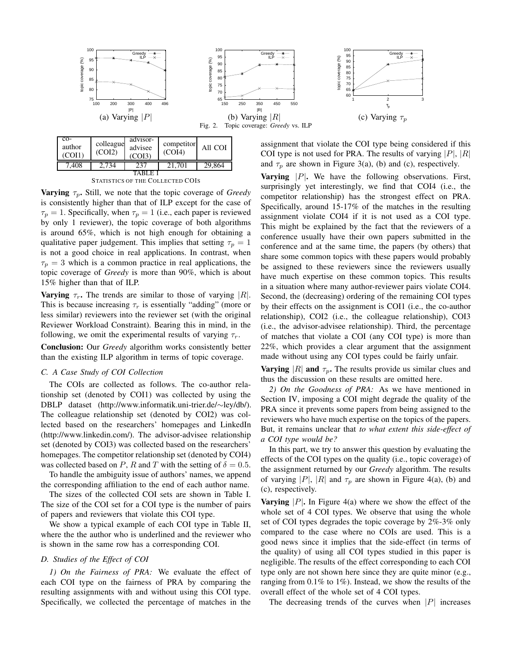

| $CO-$<br>author<br>(COII) | colleague<br>(COI2) | advisor-<br>advisee<br>COI3) | competitor<br>(COI4) | All COI |  |  |
|---------------------------|---------------------|------------------------------|----------------------|---------|--|--|
| 7,408                     | 2.734               | 237                          | 21.701               | 29,864  |  |  |
|                           |                     |                              |                      |         |  |  |

STATISTICS OF THE COLLECTED COIS

**Varying**  $\tau_p$ . Still, we note that the topic coverage of *Greedy* is consistently higher than that of ILP except for the case of  $\tau_p = 1$ . Specifically, when  $\tau_p = 1$  (i.e., each paper is reviewed by only 1 reviewer), the topic coverage of both algorithms is around 65%, which is not high enough for obtaining a qualitative paper judgement. This implies that setting  $\tau_p = 1$ is not a good choice in real applications. In contrast, when  $\tau_p = 3$  which is a common practice in real applications, the topic coverage of *Greedy* is more than 90%, which is about 15% higher than that of ILP.

**Varying**  $\tau_r$ . The trends are similar to those of varying |R|. This is because increasing  $\tau_r$  is essentially "adding" (more or less similar) reviewers into the reviewer set (with the original Reviewer Workload Constraint). Bearing this in mind, in the following, we omit the experimental results of varying  $\tau_r$ .

Conclusion: Our *Greedy* algorithm works consistently better than the existing ILP algorithm in terms of topic coverage.

### *C. A Case Study of COI Collection*

The COIs are collected as follows. The co-author relationship set (denoted by COI1) was collected by using the DBLP dataset (http://www.informatik.uni-trier.de/∼ley/db/). The colleague relationship set (denoted by COI2) was collected based on the researchers' homepages and LinkedIn (http://www.linkedin.com/). The advisor-advisee relationship set (denoted by COI3) was collected based on the researchers' homepages. The competitor relationship set (denoted by COI4) was collected based on P, R and T with the setting of  $\delta = 0.5$ .

To handle the ambiguity issue of authors' names, we append the corresponding affiliation to the end of each author name.

The sizes of the collected COI sets are shown in Table I. The size of the COI set for a COI type is the number of pairs of papers and reviewers that violate this COI type.

We show a typical example of each COI type in Table II, where the the author who is underlined and the reviewer who is shown in the same row has a corresponding COI.

# *D. Studies of the Effect of COI*

*1) On the Fairness of PRA:* We evaluate the effect of each COI type on the fairness of PRA by comparing the resulting assignments with and without using this COI type. Specifically, we collected the percentage of matches in the

assignment that violate the COI type being considered if this COI type is not used for PRA. The results of varying  $|P|, |R|$ and  $\tau_p$  are shown in Figure 3(a), (b) and (c), respectively.

**Varying**  $|P|$ . We have the following observations. First, surprisingly yet interestingly, we find that COI4 (i.e., the competitor relationship) has the strongest effect on PRA. Specifically, around 15-17% of the matches in the resulting assignment violate COI4 if it is not used as a COI type. This might be explained by the fact that the reviewers of a conference usually have their own papers submitted in the conference and at the same time, the papers (by others) that share some common topics with these papers would probably be assigned to these reviewers since the reviewers usually have much expertise on these common topics. This results in a situation where many author-reviewer pairs violate COI4. Second, the (decreasing) ordering of the remaining COI types by their effects on the assignment is COI1 (i.e., the co-author relationship), COI2 (i.e., the colleague relationship), COI3 (i.e., the advisor-advisee relationship). Third, the percentage of matches that violate a COI (any COI type) is more than 22%, which provides a clear argument that the assignment made without using any COI types could be fairly unfair.

Varying |R| and  $\tau_p$ . The results provide us similar clues and thus the discussion on these results are omitted here.

*2) On the Goodness of PRA:* As we have mentioned in Section IV, imposing a COI might degrade the quality of the PRA since it prevents some papers from being assigned to the reviewers who have much expertise on the topics of the papers. But, it remains unclear that *to what extent this side-effect of a COI type would be?*

In this part, we try to answer this question by evaluating the effects of the COI types on the quality (i.e., topic coverage) of the assignment returned by our *Greedy* algorithm. The results of varying |P|, |R| and  $\tau_p$  are shown in Figure 4(a), (b) and (c), respectively.

**Varying**  $|P|$ . In Figure 4(a) where we show the effect of the whole set of 4 COI types. We observe that using the whole set of COI types degrades the topic coverage by 2%-3% only compared to the case where no COIs are used. This is a good news since it implies that the side-effect (in terms of the quality) of using all COI types studied in this paper is negligible. The results of the effect corresponding to each COI type only are not shown here since they are quite minor (e.g., ranging from 0.1% to 1%). Instead, we show the results of the overall effect of the whole set of 4 COI types.

The decreasing trends of the curves when  $|P|$  increases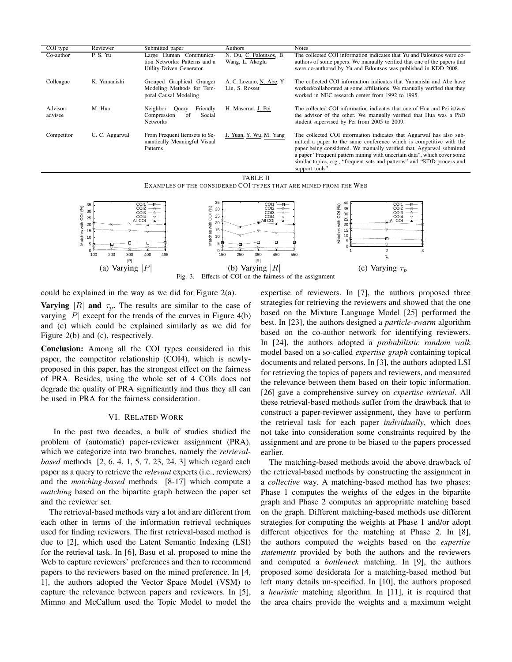| COI type            | Reviewer       | Submitted paper                                                                            | Authors                                    | <b>Notes</b>                                                                                                                                                                                                                                                                                                                                                                                 |
|---------------------|----------------|--------------------------------------------------------------------------------------------|--------------------------------------------|----------------------------------------------------------------------------------------------------------------------------------------------------------------------------------------------------------------------------------------------------------------------------------------------------------------------------------------------------------------------------------------------|
| Co-author           | P.S.Yu         | Large Human Communica-<br>tion Networks: Patterns and a<br>Utility-Driven Generator        | N. Du, C. Faloutsos, B.<br>Wang, L. Akoglu | The collected COI information indicates that Yu and Faloutsos were co-<br>authors of some papers. We manually verified that one of the papers that<br>were co-authored by Yu and Faloutsos was published in KDD 2008.                                                                                                                                                                        |
| Colleague           | K. Yamanishi   | Grouped Graphical Granger<br>Modeling Methods for Tem-<br>poral Causal Modeling            | A. C. Lozano, N. Abe, Y.<br>Liu, S. Rosset | The collected COI information indicates that Yamanishi and Abe have<br>worked/collaborated at some affiliations. We manually verified that they<br>worked in NEC research center from 1992 to 1995.                                                                                                                                                                                          |
| Advisor-<br>advisee | M. Hua         | Neighbor<br>Friendly<br>Ouery<br>Compression<br>Social<br><sup>of</sup><br><b>Networks</b> | H. Maserrat, J. Pei                        | The collected COI information indicates that one of Hua and Pei is/was<br>the advisor of the other. We manually verified that Hua was a PhD<br>student supervised by Pei from 2005 to 2009.                                                                                                                                                                                                  |
| Competitor          | C. C. Aggarwal | From Frequent Itemsets to Se-<br>mantically Meaningful Visual<br>Patterns                  | J. Yuan, Y. Wu, M. Yang                    | The collected COI information indicates that Aggarwal has also sub-<br>mitted a paper to the same conference which is competitive with the<br>paper being considered. We manually verified that, Aggarwal submitted<br>a paper "Frequent pattern mining with uncertain data", which cover some<br>similar topics, e.g., "frequent sets and patterns" and "KDD process and<br>support tools". |

TABLE II

EXAMPLES OF THE CONSIDERED COI TYPES THAT ARE MINED FROM THE WEB



could be explained in the way as we did for Figure 2(a).

**Varying** |R| and  $\tau_p$ . The results are similar to the case of varying  $|P|$  except for the trends of the curves in Figure 4(b) and (c) which could be explained similarly as we did for Figure 2(b) and (c), respectively.

Conclusion: Among all the COI types considered in this paper, the competitor relationship (COI4), which is newlyproposed in this paper, has the strongest effect on the fairness of PRA. Besides, using the whole set of 4 COIs does not degrade the quality of PRA significantly and thus they all can be used in PRA for the fairness consideration.

# VI. RELATED WORK

In the past two decades, a bulk of studies studied the problem of (automatic) paper-reviewer assignment (PRA), which we categorize into two branches, namely the *retrievalbased* methods [2, 6, 4, 1, 5, 7, 23, 24, 3] which regard each paper as a query to retrieve the *relevant* experts (i.e., reviewers) and the *matching-based* methods [8-17] which compute a *matching* based on the bipartite graph between the paper set and the reviewer set.

The retrieval-based methods vary a lot and are different from each other in terms of the information retrieval techniques used for finding reviewers. The first retrieval-based method is due to [2], which used the Latent Semantic Indexing (LSI) for the retrieval task. In [6], Basu et al. proposed to mine the Web to capture reviewers' preferences and then to recommend papers to the reviewers based on the mined preference. In [4, 1], the authors adopted the Vector Space Model (VSM) to capture the relevance between papers and reviewers. In [5], Mimno and McCallum used the Topic Model to model the

expertise of reviewers. In [7], the authors proposed three strategies for retrieving the reviewers and showed that the one based on the Mixture Language Model [25] performed the best. In [23], the authors designed a *particle-swarm* algorithm based on the co-author network for identifying reviewers. In [24], the authors adopted a *probabilistic random walk* model based on a so-called *expertise graph* containing topical documents and related persons. In [3], the authors adopted LSI for retrieving the topics of papers and reviewers, and measured the relevance between them based on their topic information. [26] gave a comprehensive survey on *expertise retrieval*. All these retrieval-based methods suffer from the drawback that to construct a paper-reviewer assignment, they have to perform the retrieval task for each paper *individually*, which does not take into consideration some constraints required by the assignment and are prone to be biased to the papers processed earlier.

The matching-based methods avoid the above drawback of the retrieval-based methods by constructing the assignment in a *collective* way. A matching-based method has two phases: Phase 1 computes the weights of the edges in the bipartite graph and Phase 2 computes an appropriate matching based on the graph. Different matching-based methods use different strategies for computing the weights at Phase 1 and/or adopt different objectives for the matching at Phase 2. In [8], the authors computed the weights based on the *expertise statements* provided by both the authors and the reviewers and computed a *bottleneck* matching. In [9], the authors proposed some desiderata for a matching-based method but left many details un-specified. In [10], the authors proposed a *heuristic* matching algorithm. In [11], it is required that the area chairs provide the weights and a maximum weight